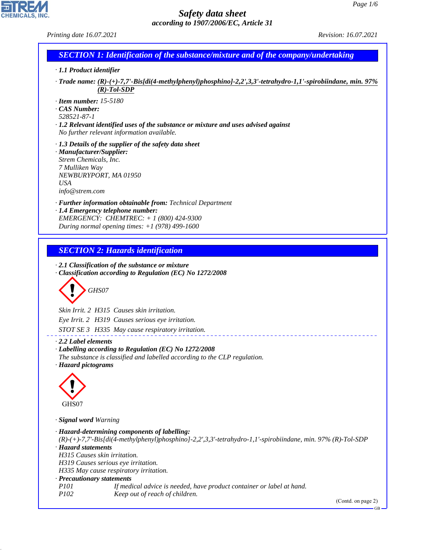*Printing date 16.07.2021 Revision: 16.07.2021*

CHEMICALS, INC.

44.1.1

| <b>SECTION 1: Identification of the substance/mixture and of the company/undertaking</b><br>· 1.1 Product identifier<br>· Trade name: (R)-(+)-7,7'-Bis[di(4-methylphenyl)phosphino]-2,2',3,3'-tetrahydro-1,1'-spirobiindane, min. 97%<br>$(R)$ -Tol-SDP<br>$\cdot$ Item number: 15-5180<br>$\cdot$ CAS Number:<br>528521-87-1<br>$\cdot$ 1.2 Relevant identified uses of the substance or mixture and uses advised against<br>No further relevant information available.<br>$\cdot$ 1.3 Details of the supplier of the safety data sheet<br>· Manufacturer/Supplier:<br>Strem Chemicals, Inc.<br>7 Mulliken Way<br>NEWBURYPORT, MA 01950<br><b>USA</b><br>info@strem.com<br>· Further information obtainable from: Technical Department<br>· 1.4 Emergency telephone number:<br>EMERGENCY: CHEMTREC: + 1 (800) 424-9300<br>During normal opening times: $+1$ (978) 499-1600<br><b>SECTION 2: Hazards identification</b><br>$\cdot$ 2.1 Classification of the substance or mixture<br>· Classification according to Regulation (EC) No 1272/2008<br>GHS07<br>Skin Irrit. 2 H315 Causes skin irritation.<br>Eye Irrit. 2 H319 Causes serious eye irritation.<br>STOT SE 3 H335 May cause respiratory irritation.<br>$\cdot$ 2.2 Label elements<br>Labelling according to Regulation (EC) No 1272/2008<br>The substance is classified and labelled according to the CLP regulation.<br>· Hazard pictograms<br>GHS07<br>· Signal word Warning<br>· Hazard-determining components of labelling:<br>$(R)$ - $(+)$ -7,7'-Bis[di(4-methylphenyl)phosphino]-2,2',3,3'-tetrahydro-1,1'-spirobiindane, min. 97% (R)-Tol-SDP<br>· Hazard statements<br>H315 Causes skin irritation.<br>H319 Causes serious eye irritation.<br>H335 May cause respiratory irritation.<br>· Precautionary statements<br>P101<br>If medical advice is needed, have product container or label at hand.<br>P102<br>Keep out of reach of children.<br>(Contd. on page 2) |  |
|-----------------------------------------------------------------------------------------------------------------------------------------------------------------------------------------------------------------------------------------------------------------------------------------------------------------------------------------------------------------------------------------------------------------------------------------------------------------------------------------------------------------------------------------------------------------------------------------------------------------------------------------------------------------------------------------------------------------------------------------------------------------------------------------------------------------------------------------------------------------------------------------------------------------------------------------------------------------------------------------------------------------------------------------------------------------------------------------------------------------------------------------------------------------------------------------------------------------------------------------------------------------------------------------------------------------------------------------------------------------------------------------------------------------------------------------------------------------------------------------------------------------------------------------------------------------------------------------------------------------------------------------------------------------------------------------------------------------------------------------------------------------------------------------------------------------------------------------------------------------------------------------------------------------------------------------|--|
|                                                                                                                                                                                                                                                                                                                                                                                                                                                                                                                                                                                                                                                                                                                                                                                                                                                                                                                                                                                                                                                                                                                                                                                                                                                                                                                                                                                                                                                                                                                                                                                                                                                                                                                                                                                                                                                                                                                                         |  |
|                                                                                                                                                                                                                                                                                                                                                                                                                                                                                                                                                                                                                                                                                                                                                                                                                                                                                                                                                                                                                                                                                                                                                                                                                                                                                                                                                                                                                                                                                                                                                                                                                                                                                                                                                                                                                                                                                                                                         |  |
|                                                                                                                                                                                                                                                                                                                                                                                                                                                                                                                                                                                                                                                                                                                                                                                                                                                                                                                                                                                                                                                                                                                                                                                                                                                                                                                                                                                                                                                                                                                                                                                                                                                                                                                                                                                                                                                                                                                                         |  |
|                                                                                                                                                                                                                                                                                                                                                                                                                                                                                                                                                                                                                                                                                                                                                                                                                                                                                                                                                                                                                                                                                                                                                                                                                                                                                                                                                                                                                                                                                                                                                                                                                                                                                                                                                                                                                                                                                                                                         |  |
|                                                                                                                                                                                                                                                                                                                                                                                                                                                                                                                                                                                                                                                                                                                                                                                                                                                                                                                                                                                                                                                                                                                                                                                                                                                                                                                                                                                                                                                                                                                                                                                                                                                                                                                                                                                                                                                                                                                                         |  |
|                                                                                                                                                                                                                                                                                                                                                                                                                                                                                                                                                                                                                                                                                                                                                                                                                                                                                                                                                                                                                                                                                                                                                                                                                                                                                                                                                                                                                                                                                                                                                                                                                                                                                                                                                                                                                                                                                                                                         |  |
|                                                                                                                                                                                                                                                                                                                                                                                                                                                                                                                                                                                                                                                                                                                                                                                                                                                                                                                                                                                                                                                                                                                                                                                                                                                                                                                                                                                                                                                                                                                                                                                                                                                                                                                                                                                                                                                                                                                                         |  |
|                                                                                                                                                                                                                                                                                                                                                                                                                                                                                                                                                                                                                                                                                                                                                                                                                                                                                                                                                                                                                                                                                                                                                                                                                                                                                                                                                                                                                                                                                                                                                                                                                                                                                                                                                                                                                                                                                                                                         |  |
|                                                                                                                                                                                                                                                                                                                                                                                                                                                                                                                                                                                                                                                                                                                                                                                                                                                                                                                                                                                                                                                                                                                                                                                                                                                                                                                                                                                                                                                                                                                                                                                                                                                                                                                                                                                                                                                                                                                                         |  |
|                                                                                                                                                                                                                                                                                                                                                                                                                                                                                                                                                                                                                                                                                                                                                                                                                                                                                                                                                                                                                                                                                                                                                                                                                                                                                                                                                                                                                                                                                                                                                                                                                                                                                                                                                                                                                                                                                                                                         |  |
|                                                                                                                                                                                                                                                                                                                                                                                                                                                                                                                                                                                                                                                                                                                                                                                                                                                                                                                                                                                                                                                                                                                                                                                                                                                                                                                                                                                                                                                                                                                                                                                                                                                                                                                                                                                                                                                                                                                                         |  |
|                                                                                                                                                                                                                                                                                                                                                                                                                                                                                                                                                                                                                                                                                                                                                                                                                                                                                                                                                                                                                                                                                                                                                                                                                                                                                                                                                                                                                                                                                                                                                                                                                                                                                                                                                                                                                                                                                                                                         |  |
|                                                                                                                                                                                                                                                                                                                                                                                                                                                                                                                                                                                                                                                                                                                                                                                                                                                                                                                                                                                                                                                                                                                                                                                                                                                                                                                                                                                                                                                                                                                                                                                                                                                                                                                                                                                                                                                                                                                                         |  |
|                                                                                                                                                                                                                                                                                                                                                                                                                                                                                                                                                                                                                                                                                                                                                                                                                                                                                                                                                                                                                                                                                                                                                                                                                                                                                                                                                                                                                                                                                                                                                                                                                                                                                                                                                                                                                                                                                                                                         |  |
|                                                                                                                                                                                                                                                                                                                                                                                                                                                                                                                                                                                                                                                                                                                                                                                                                                                                                                                                                                                                                                                                                                                                                                                                                                                                                                                                                                                                                                                                                                                                                                                                                                                                                                                                                                                                                                                                                                                                         |  |
|                                                                                                                                                                                                                                                                                                                                                                                                                                                                                                                                                                                                                                                                                                                                                                                                                                                                                                                                                                                                                                                                                                                                                                                                                                                                                                                                                                                                                                                                                                                                                                                                                                                                                                                                                                                                                                                                                                                                         |  |
|                                                                                                                                                                                                                                                                                                                                                                                                                                                                                                                                                                                                                                                                                                                                                                                                                                                                                                                                                                                                                                                                                                                                                                                                                                                                                                                                                                                                                                                                                                                                                                                                                                                                                                                                                                                                                                                                                                                                         |  |
|                                                                                                                                                                                                                                                                                                                                                                                                                                                                                                                                                                                                                                                                                                                                                                                                                                                                                                                                                                                                                                                                                                                                                                                                                                                                                                                                                                                                                                                                                                                                                                                                                                                                                                                                                                                                                                                                                                                                         |  |
|                                                                                                                                                                                                                                                                                                                                                                                                                                                                                                                                                                                                                                                                                                                                                                                                                                                                                                                                                                                                                                                                                                                                                                                                                                                                                                                                                                                                                                                                                                                                                                                                                                                                                                                                                                                                                                                                                                                                         |  |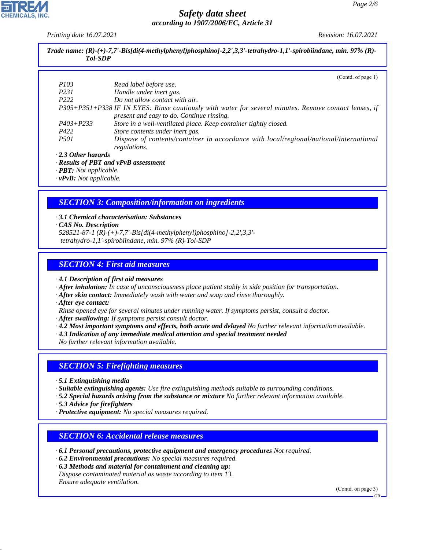*Printing date 16.07.2021 Revision: 16.07.2021*

| <b>Tol-SDP</b>            | Trade name: $(R)$ - $(+)$ -7,7'-Bis[di(4-methylphenyl)phosphino]-2,2',3,3'-tetrahydro-1,1'-spirobiindane, min. 97% (R)-                            |
|---------------------------|----------------------------------------------------------------------------------------------------------------------------------------------------|
|                           |                                                                                                                                                    |
|                           | (Contd. of page 1)                                                                                                                                 |
| <i>P103</i>               | Read label before use.                                                                                                                             |
| P <sub>231</sub>          | Handle under inert gas.                                                                                                                            |
| P <sub>222</sub>          | Do not allow contact with air.                                                                                                                     |
|                           | P305+P351+P338 IF IN EYES: Rinse cautiously with water for several minutes. Remove contact lenses, if<br>present and easy to do. Continue rinsing. |
| $P403 + P233$             | Store in a well-ventilated place. Keep container tightly closed.                                                                                   |
| P422                      | Store contents under inert gas.                                                                                                                    |
| <i>P501</i>               | Dispose of contents/container in accordance with local/regional/national/international<br>regulations.                                             |
| $\cdot$ 2.3 Other hazards |                                                                                                                                                    |
|                           | $\cdot$ Results of PBT and vPvB assessment                                                                                                         |

*· PBT: Not applicable.*

*· vPvB: Not applicable.*

### *SECTION 3: Composition/information on ingredients*

- *· 3.1 Chemical characterisation: Substances · CAS No. Description*
- *528521-87-1 (R)-(+)-7,7'-Bis[di(4-methylphenyl)phosphino]-2,2',3,3' tetrahydro-1,1'-spirobiindane, min. 97% (R)-Tol-SDP*

### *SECTION 4: First aid measures*

*· 4.1 Description of first aid measures*

- *· After inhalation: In case of unconsciousness place patient stably in side position for transportation.*
- *· After skin contact: Immediately wash with water and soap and rinse thoroughly.*
- *· After eye contact:*
- *Rinse opened eye for several minutes under running water. If symptoms persist, consult a doctor.*
- *· After swallowing: If symptoms persist consult doctor.*
- *· 4.2 Most important symptoms and effects, both acute and delayed No further relevant information available.*
- *· 4.3 Indication of any immediate medical attention and special treatment needed*

*No further relevant information available.*

### *SECTION 5: Firefighting measures*

- *· 5.1 Extinguishing media*
- *· Suitable extinguishing agents: Use fire extinguishing methods suitable to surrounding conditions.*
- *· 5.2 Special hazards arising from the substance or mixture No further relevant information available.*
- *· 5.3 Advice for firefighters*

44.1.1

*· Protective equipment: No special measures required.*

### *SECTION 6: Accidental release measures*

- *· 6.1 Personal precautions, protective equipment and emergency procedures Not required.*
- *· 6.2 Environmental precautions: No special measures required.*
- *· 6.3 Methods and material for containment and cleaning up: Dispose contaminated material as waste according to item 13. Ensure adequate ventilation.*

(Contd. on page 3)

GB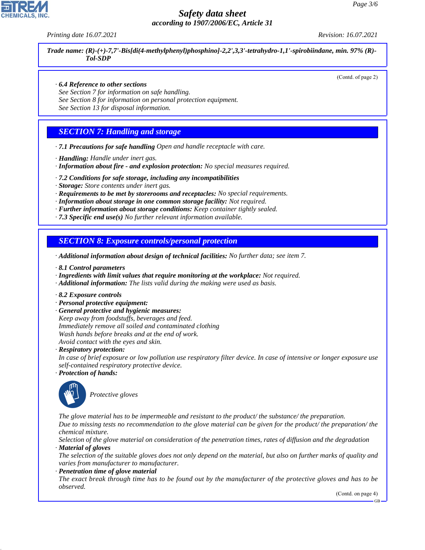*Printing date 16.07.2021 Revision: 16.07.2021*

*Trade name: (R)-(+)-7,7'-Bis[di(4-methylphenyl)phosphino]-2,2',3,3'-tetrahydro-1,1'-spirobiindane, min. 97% (R)- Tol-SDP*

(Contd. of page 2)

### *· 6.4 Reference to other sections*

*See Section 7 for information on safe handling.*

*See Section 8 for information on personal protection equipment.*

*See Section 13 for disposal information.*

### *SECTION 7: Handling and storage*

- *· 7.1 Precautions for safe handling Open and handle receptacle with care.*
- *· Handling: Handle under inert gas.*
- *· Information about fire and explosion protection: No special measures required.*
- *· 7.2 Conditions for safe storage, including any incompatibilities*
- *· Storage: Store contents under inert gas.*
- *· Requirements to be met by storerooms and receptacles: No special requirements.*
- *· Information about storage in one common storage facility: Not required.*
- *· Further information about storage conditions: Keep container tightly sealed.*
- *· 7.3 Specific end use(s) No further relevant information available.*

### *SECTION 8: Exposure controls/personal protection*

- *· Additional information about design of technical facilities: No further data; see item 7.*
- *· 8.1 Control parameters*
- *· Ingredients with limit values that require monitoring at the workplace: Not required.*
- *· Additional information: The lists valid during the making were used as basis.*
- *· 8.2 Exposure controls*
- *· Personal protective equipment:*
- *· General protective and hygienic measures:*
- *Keep away from foodstuffs, beverages and feed. Immediately remove all soiled and contaminated clothing Wash hands before breaks and at the end of work. Avoid contact with the eyes and skin.*

*· Respiratory protection:*

*In case of brief exposure or low pollution use respiratory filter device. In case of intensive or longer exposure use self-contained respiratory protective device.*

*· Protection of hands:*



44.1.1

\_S*Protective gloves*

*The glove material has to be impermeable and resistant to the product/ the substance/ the preparation.*

*Due to missing tests no recommendation to the glove material can be given for the product/ the preparation/ the chemical mixture.*

*Selection of the glove material on consideration of the penetration times, rates of diffusion and the degradation · Material of gloves*

*The selection of the suitable gloves does not only depend on the material, but also on further marks of quality and varies from manufacturer to manufacturer.*

*· Penetration time of glove material*

*The exact break through time has to be found out by the manufacturer of the protective gloves and has to be observed.*

(Contd. on page 4)

GB

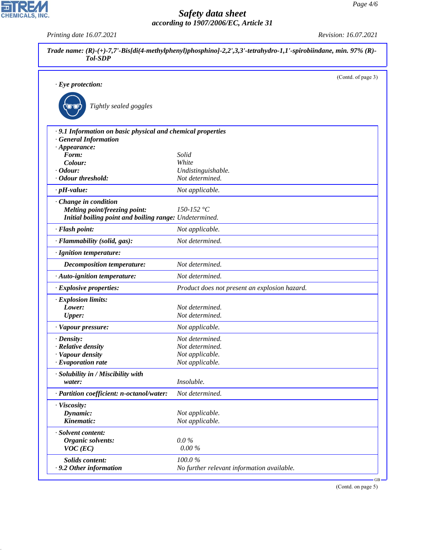*Printing date 16.07.2021 Revision: 16.07.2021*

CHEMICALS, INC.

44.1.1

| Trade name: $(R)$ -(+)-7,7'-Bis[di(4-methylphenyl)phosphino]-2,2',3,3'-tetrahydro-1,1'-spirobiindane, min. 97% (R)-<br><b>Tol-SDP</b>                                        |                                                                          |  |  |
|------------------------------------------------------------------------------------------------------------------------------------------------------------------------------|--------------------------------------------------------------------------|--|--|
| $\cdot$ Eye protection:<br>Tightly sealed goggles                                                                                                                            | (Contd. of page 3)                                                       |  |  |
| · 9.1 Information on basic physical and chemical properties<br><b>General Information</b><br>$\cdot$ Appearance:<br>Form:<br>Colour:<br>$\cdot$ Odour:<br>· Odour threshold: | Solid<br>White<br>Undistinguishable.<br>Not determined.                  |  |  |
| $\cdot$ pH-value:<br>Change in condition<br>Melting point/freezing point:<br>Initial boiling point and boiling range: Undetermined.                                          | Not applicable.<br>150-152 °C                                            |  |  |
| · Flash point:<br>· Flammability (solid, gas):                                                                                                                               | Not applicable.<br>Not determined.                                       |  |  |
| · Ignition temperature:<br><b>Decomposition temperature:</b><br>· Auto-ignition temperature:                                                                                 | Not determined.<br>Not determined.                                       |  |  |
| · Explosive properties:                                                                                                                                                      | Product does not present an explosion hazard.                            |  |  |
| · Explosion limits:<br>Lower:<br><b>Upper:</b><br>· Vapour pressure:                                                                                                         | Not determined.<br>Not determined.<br>Not applicable.                    |  |  |
| $\cdot$ Density:<br>· Relative density<br>· Vapour density<br>$\cdot$ Evaporation rate                                                                                       | Not determined.<br>Not determined.<br>Not applicable.<br>Not applicable. |  |  |
| · Solubility in / Miscibility with<br>water:                                                                                                                                 | Insoluble.                                                               |  |  |
| · Partition coefficient: n-octanol/water:<br>· Viscosity:<br>Dynamic:<br>Kinematic:                                                                                          | Not determined.<br>Not applicable.<br>Not applicable.                    |  |  |
| · Solvent content:<br>Organic solvents:<br>$VOC$ (EC)                                                                                                                        | $0.0\%$<br>0.00%                                                         |  |  |
| Solids content:<br>.9.2 Other information                                                                                                                                    | 100.0%<br>No further relevant information available.                     |  |  |

(Contd. on page 5)

GB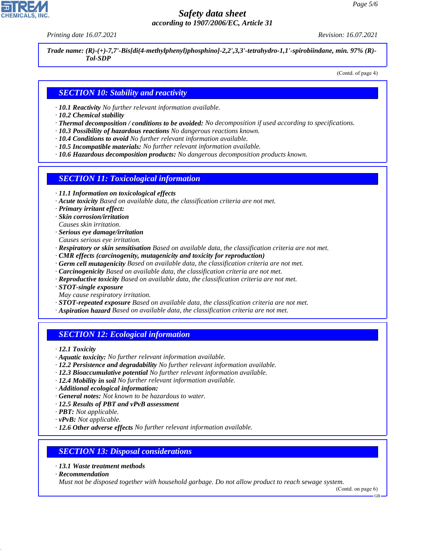*Printing date 16.07.2021 Revision: 16.07.2021*

*Trade name: (R)-(+)-7,7'-Bis[di(4-methylphenyl)phosphino]-2,2',3,3'-tetrahydro-1,1'-spirobiindane, min. 97% (R)- Tol-SDP*

(Contd. of page 4)

### *SECTION 10: Stability and reactivity*

- *· 10.1 Reactivity No further relevant information available.*
- *· 10.2 Chemical stability*
- *· Thermal decomposition / conditions to be avoided: No decomposition if used according to specifications.*
- *· 10.3 Possibility of hazardous reactions No dangerous reactions known.*
- *· 10.4 Conditions to avoid No further relevant information available.*
- *· 10.5 Incompatible materials: No further relevant information available.*
- *· 10.6 Hazardous decomposition products: No dangerous decomposition products known.*

### *SECTION 11: Toxicological information*

- *· 11.1 Information on toxicological effects*
- *· Acute toxicity Based on available data, the classification criteria are not met.*
- *· Primary irritant effect:*
- *· Skin corrosion/irritation*
- *Causes skin irritation.*
- *· Serious eye damage/irritation*
- *Causes serious eye irritation.*
- *· Respiratory or skin sensitisation Based on available data, the classification criteria are not met.*
- *· CMR effects (carcinogenity, mutagenicity and toxicity for reproduction)*
- *· Germ cell mutagenicity Based on available data, the classification criteria are not met.*
- *· Carcinogenicity Based on available data, the classification criteria are not met.*
- *· Reproductive toxicity Based on available data, the classification criteria are not met.*
- *· STOT-single exposure*
- *May cause respiratory irritation.*
- *· STOT-repeated exposure Based on available data, the classification criteria are not met.*
- *· Aspiration hazard Based on available data, the classification criteria are not met.*

## *SECTION 12: Ecological information*

*· 12.1 Toxicity*

- *· Aquatic toxicity: No further relevant information available.*
- *· 12.2 Persistence and degradability No further relevant information available.*
- *· 12.3 Bioaccumulative potential No further relevant information available.*
- *· 12.4 Mobility in soil No further relevant information available.*
- *· Additional ecological information:*
- *· General notes: Not known to be hazardous to water.*
- *· 12.5 Results of PBT and vPvB assessment*
- *· PBT: Not applicable.*
- *· vPvB: Not applicable.*
- *· 12.6 Other adverse effects No further relevant information available.*

### *SECTION 13: Disposal considerations*

- *· 13.1 Waste treatment methods*
- *· Recommendation*

44.1.1

*Must not be disposed together with household garbage. Do not allow product to reach sewage system.*

GB